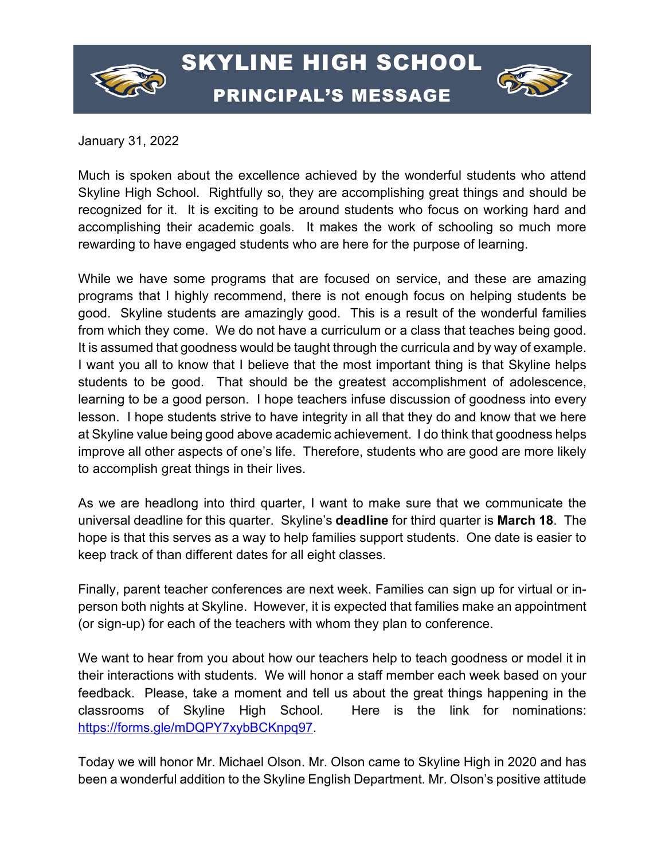

## SKYLINE HIGH SCHOOL PRINCIPAL'S MESSAGE



January 31, 2022

Much is spoken about the excellence achieved by the wonderful students who attend Skyline High School. Rightfully so, they are accomplishing great things and should be recognized for it. It is exciting to be around students who focus on working hard and accomplishing their academic goals. It makes the work of schooling so much more rewarding to have engaged students who are here for the purpose of learning.

While we have some programs that are focused on service, and these are amazing programs that I highly recommend, there is not enough focus on helping students be good. Skyline students are amazingly good. This is a result of the wonderful families from which they come. We do not have a curriculum or a class that teaches being good. It is assumed that goodness would be taught through the curricula and by way of example. I want you all to know that I believe that the most important thing is that Skyline helps students to be good. That should be the greatest accomplishment of adolescence, learning to be a good person. I hope teachers infuse discussion of goodness into every lesson. I hope students strive to have integrity in all that they do and know that we here at Skyline value being good above academic achievement. I do think that goodness helps improve all other aspects of one's life. Therefore, students who are good are more likely to accomplish great things in their lives.

As we are headlong into third quarter, I want to make sure that we communicate the universal deadline for this quarter. Skyline's **deadline** for third quarter is **March 18**. The hope is that this serves as a way to help families support students. One date is easier to keep track of than different dates for all eight classes.

Finally, parent teacher conferences are next week. Families can sign up for virtual or inperson both nights at Skyline. However, it is expected that families make an appointment (or sign-up) for each of the teachers with whom they plan to conference.

We want to hear from you about how our teachers help to teach goodness or model it in their interactions with students. We will honor a staff member each week based on your feedback. Please, take a moment and tell us about the great things happening in the classrooms of Skyline High School. Here is the link for nominations: [https://forms.gle/mDQPY7xybBCKnpq97.](https://forms.gle/mDQPY7xybBCKnpq97)

Today we will honor Mr. Michael Olson. Mr. Olson came to Skyline High in 2020 and has been a wonderful addition to the Skyline English Department. Mr. Olson's positive attitude